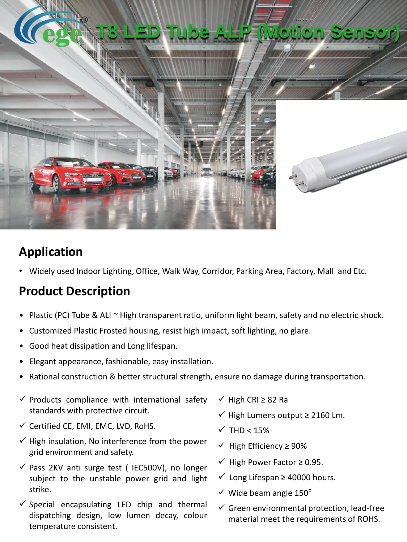

## **Application**

• Widely used Indoor Lighting, Office, Walk Way, Corridor, Parking Area, Factory, Mall and Etc.

## **Product Description**

- Plastic (PC) Tube & ALI ~ High transparent ratio, uniform light beam, safety and no electric shock.
- Customized Plastic Frosted housing, resist high impact, soft lighting, no glare.
- Good heat dissipation and Long lifespan.
- Elegant appearance, fashionable, easy installation.
- Rational construction & better structural strength, ensure no damage during transportation.
- $\checkmark$  Products compliance with international safety standards with protective circuit.
- $\checkmark$  Certified CE, EMI, EMC, LVD, RoHS.
- $\checkmark$  High insulation, No interference from the power grid environment and safety.
- $\checkmark$  Pass 2KV anti surge test (IEC500V), no longer subject to the unstable power grid and light strike.
- $\checkmark$  Special encapsulating LED chip and thermal dispatching design, low lumen decay, colour temperature consistent.
- ✓ High CRI ≥ 82 Ra
- ✓ High Lumens output ≥ 2160 Lm.
- $\checkmark$  THD < 15%
- ✓ High Efficiency ≥ 90%
- $\checkmark$  High Power Factor  $\geq$  0.95.
- ✓ Long Lifespan ≥ 40000 hours.
- $\checkmark$  Wide beam angle 150°
- $\checkmark$  Green environmental protection, lead-free material meet the requirements of ROHS.